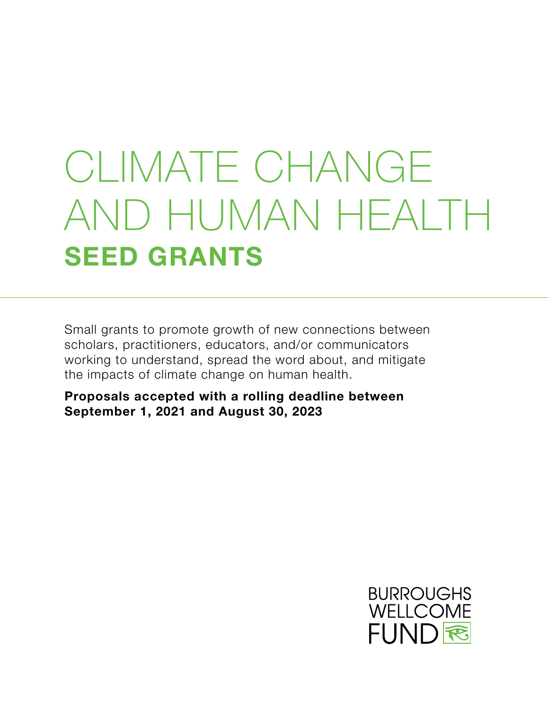# CLIMATE CHANGE AND HUMAN HEALTH **SEED GRANTS**

Small grants to promote growth of new connections between scholars, practitioners, educators, and/or communicators working to understand, spread the word about, and mitigate the impacts of climate change on human health.

**Proposals accepted with a rolling deadline between September 1, 2021 and August 30, 2023**

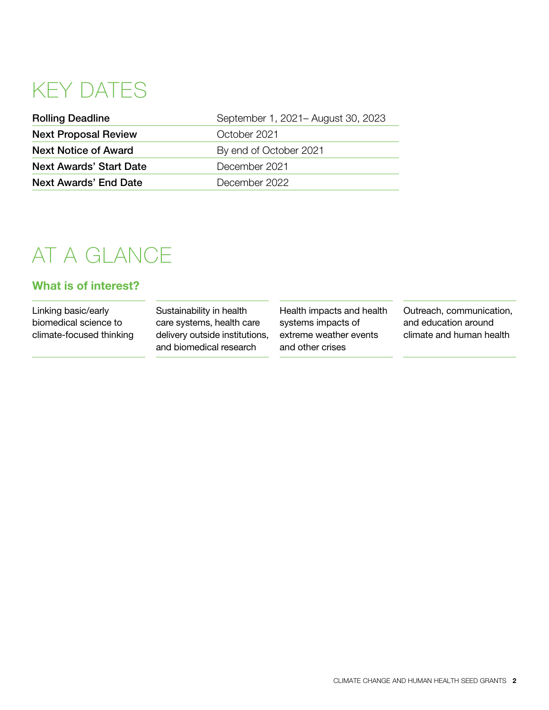# KEY DATES

| <b>Next Proposal Review</b><br>October 2021<br><b>Next Notice of Award</b><br>By end of October 2021 | <b>Rolling Deadline</b> |
|------------------------------------------------------------------------------------------------------|-------------------------|
|                                                                                                      |                         |
|                                                                                                      |                         |
| <b>Next Awards' Start Date</b><br>December 2021                                                      |                         |
| Next Awards' End Date<br>December 2022                                                               |                         |

# AT A GLANCE

#### **What is of interest?**

Linking basic/early biomedical science to climate-focused thinking Sustainability in health care systems, health care delivery outside institutions, and biomedical research

Health impacts and health systems impacts of extreme weather events and other crises

Outreach, communication, and education around climate and human health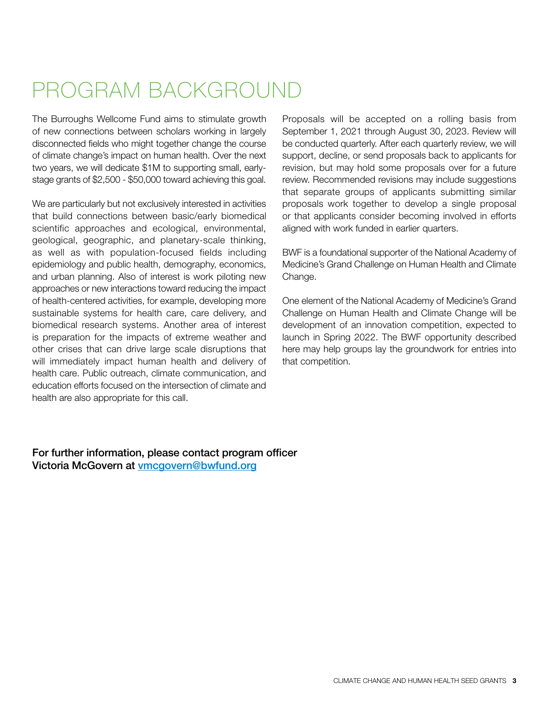# PROGRAM BACKGROUND

The Burroughs Wellcome Fund aims to stimulate growth of new connections between scholars working in largely disconnected fields who might together change the course of climate change's impact on human health. Over the next two years, we will dedicate \$1M to supporting small, earlystage grants of \$2,500 - \$50,000 toward achieving this goal.

We are particularly but not exclusively interested in activities that build connections between basic/early biomedical scientific approaches and ecological, environmental, geological, geographic, and planetary-scale thinking, as well as with population-focused fields including epidemiology and public health, demography, economics, and urban planning. Also of interest is work piloting new approaches or new interactions toward reducing the impact of health-centered activities, for example, developing more sustainable systems for health care, care delivery, and biomedical research systems. Another area of interest is preparation for the impacts of extreme weather and other crises that can drive large scale disruptions that will immediately impact human health and delivery of health care. Public outreach, climate communication, and education efforts focused on the intersection of climate and health are also appropriate for this call.

Proposals will be accepted on a rolling basis from September 1, 2021 through August 30, 2023. Review will be conducted quarterly. After each quarterly review, we will support, decline, or send proposals back to applicants for revision, but may hold some proposals over for a future review. Recommended revisions may include suggestions that separate groups of applicants submitting similar proposals work together to develop a single proposal or that applicants consider becoming involved in efforts aligned with work funded in earlier quarters.

BWF is a foundational supporter of the National Academy of Medicine's Grand Challenge on Human Health and Climate Change.

One element of the National Academy of Medicine's Grand Challenge on Human Health and Climate Change will be development of an innovation competition, expected to launch in Spring 2022. The BWF opportunity described here may help groups lay the groundwork for entries into that competition.

For further information, please contact program officer Victoria McGovern at [vmcgovern@bwfund.org](mailto:vmcgovern%40bwfund.org?subject=)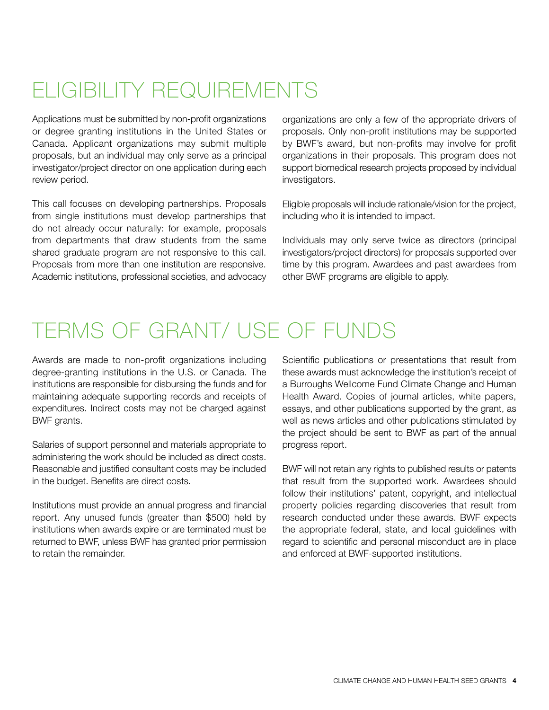# ELIGIBILITY REQUIREMENTS

Applications must be submitted by non-profit organizations or degree granting institutions in the United States or Canada. Applicant organizations may submit multiple proposals, but an individual may only serve as a principal investigator/project director on one application during each review period.

This call focuses on developing partnerships. Proposals from single institutions must develop partnerships that do not already occur naturally: for example, proposals from departments that draw students from the same shared graduate program are not responsive to this call. Proposals from more than one institution are responsive. Academic institutions, professional societies, and advocacy organizations are only a few of the appropriate drivers of proposals. Only non-profit institutions may be supported by BWF's award, but non-profits may involve for profit organizations in their proposals. This program does not support biomedical research projects proposed by individual investigators.

Eligible proposals will include rationale/vision for the project, including who it is intended to impact.

Individuals may only serve twice as directors (principal investigators/project directors) for proposals supported over time by this program. Awardees and past awardees from other BWF programs are eligible to apply.

### TERMS OF GRANT/ USE OF FUNDS

Awards are made to non-profit organizations including degree-granting institutions in the U.S. or Canada. The institutions are responsible for disbursing the funds and for maintaining adequate supporting records and receipts of expenditures. Indirect costs may not be charged against BWF grants.

Salaries of support personnel and materials appropriate to administering the work should be included as direct costs. Reasonable and justified consultant costs may be included in the budget. Benefits are direct costs.

Institutions must provide an annual progress and financial report. Any unused funds (greater than \$500) held by institutions when awards expire or are terminated must be returned to BWF, unless BWF has granted prior permission to retain the remainder.

Scientific publications or presentations that result from these awards must acknowledge the institution's receipt of a Burroughs Wellcome Fund Climate Change and Human Health Award. Copies of journal articles, white papers, essays, and other publications supported by the grant, as well as news articles and other publications stimulated by the project should be sent to BWF as part of the annual progress report.

BWF will not retain any rights to published results or patents that result from the supported work. Awardees should follow their institutions' patent, copyright, and intellectual property policies regarding discoveries that result from research conducted under these awards. BWF expects the appropriate federal, state, and local guidelines with regard to scientific and personal misconduct are in place and enforced at BWF-supported institutions.